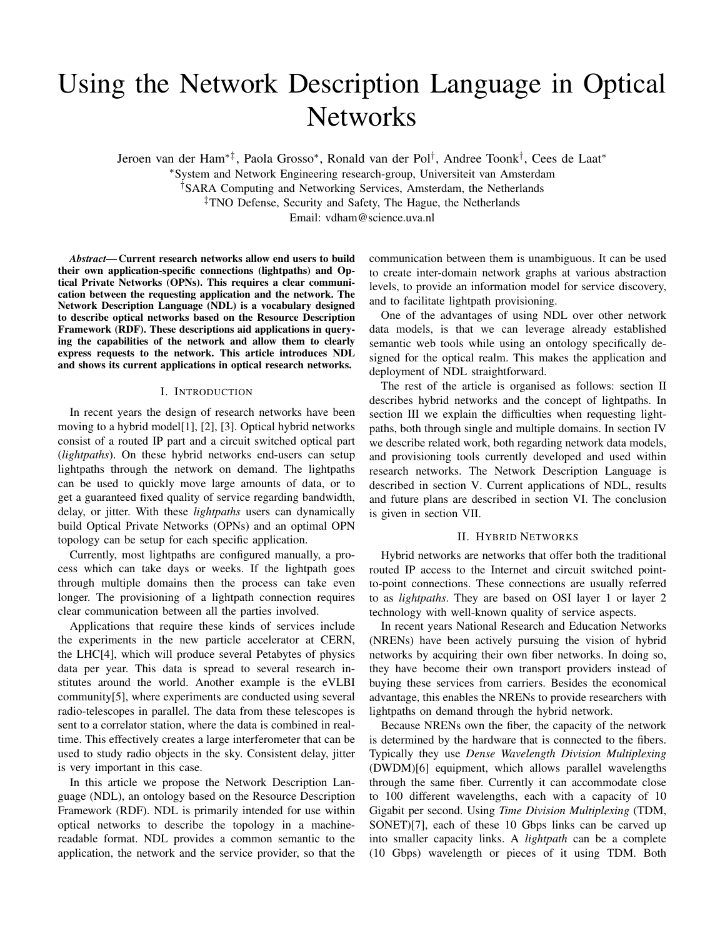# Using the Network Description Language in Optical **Networks**

Jeroen van der Ham∗‡ , Paola Grosso∗, Ronald van der Pol†, Andree Toonk†, Cees de Laat∗

∗System and Network Engineering research-group, Universiteit van Amsterdam

†SARA Computing and Networking Services, Amsterdam, the Netherlands

<sup>‡</sup>TNO Defense, Security and Safety, The Hague, the Netherlands

Email: [vdham@science.uva.nl](mailto:vdham@science.uva.nl)

*Abstract*— Current research networks allow end users to build their own application-specific connections (lightpaths) and Optical Private Networks (OPNs). This requires a clear communication between the requesting application and the network. The Network Description Language (NDL) is a vocabulary designed to describe optical networks based on the Resource Description Framework (RDF). These descriptions aid applications in querying the capabilities of the network and allow them to clearly express requests to the network. This article introduces NDL and shows its current applications in optical research networks.

## I. INTRODUCTION

In recent years the design of research networks have been moving to a hybrid model[1], [2], [3]. Optical hybrid networks consist of a routed IP part and a circuit switched optical part (*lightpaths*). On these hybrid networks end-users can setup lightpaths through the network on demand. The lightpaths can be used to quickly move large amounts of data, or to get a guaranteed fixed quality of service regarding bandwidth, delay, or jitter. With these *lightpaths* users can dynamically build Optical Private Networks (OPNs) and an optimal OPN topology can be setup for each specific application.

Currently, most lightpaths are configured manually, a process which can take days or weeks. If the lightpath goes through multiple domains then the process can take even longer. The provisioning of a lightpath connection requires clear communication between all the parties involved.

Applications that require these kinds of services include the experiments in the new particle accelerator at CERN, the LHC[4], which will produce several Petabytes of physics data per year. This data is spread to several research institutes around the world. Another example is the eVLBI community[5], where experiments are conducted using several radio-telescopes in parallel. The data from these telescopes is sent to a correlator station, where the data is combined in realtime. This effectively creates a large interferometer that can be used to study radio objects in the sky. Consistent delay, jitter is very important in this case.

In this article we propose the Network Description Language (NDL), an ontology based on the Resource Description Framework (RDF). NDL is primarily intended for use within optical networks to describe the topology in a machinereadable format. NDL provides a common semantic to the application, the network and the service provider, so that the communication between them is unambiguous. It can be used to create inter-domain network graphs at various abstraction levels, to provide an information model for service discovery, and to facilitate lightpath provisioning.

One of the advantages of using NDL over other network data models, is that we can leverage already established semantic web tools while using an ontology specifically designed for the optical realm. This makes the application and deployment of NDL straightforward.

The rest of the article is organised as follows: section II describes hybrid networks and the concept of lightpaths. In section [III](#page-1-0) we explain the difficulties when requesting lightpaths, both through single and multiple domains. In section [IV](#page-2-0) we describe related work, both regarding network data models, and provisioning tools currently developed and used within research networks. The Network Description Language is described in section [V.](#page-2-1) Current applications of NDL, results and future plans are described in section [VI.](#page-3-0) The conclusion is given in section [VII.](#page-5-0)

#### II. HYBRID NETWORKS

Hybrid networks are networks that offer both the traditional routed IP access to the Internet and circuit switched pointto-point connections. These connections are usually referred to as *lightpaths*. They are based on OSI layer 1 or layer 2 technology with well-known quality of service aspects.

In recent years National Research and Education Networks (NRENs) have been actively pursuing the vision of hybrid networks by acquiring their own fiber networks. In doing so, they have become their own transport providers instead of buying these services from carriers. Besides the economical advantage, this enables the NRENs to provide researchers with lightpaths on demand through the hybrid network.

Because NRENs own the fiber, the capacity of the network is determined by the hardware that is connected to the fibers. Typically they use *Dense Wavelength Division Multiplexing* (DWDM)[6] equipment, which allows parallel wavelengths through the same fiber. Currently it can accommodate close to 100 different wavelengths, each with a capacity of 10 Gigabit per second. Using *Time Division Multiplexing* (TDM, SONET)[7], each of these 10 Gbps links can be carved up into smaller capacity links. A *lightpath* can be a complete (10 Gbps) wavelength or pieces of it using TDM. Both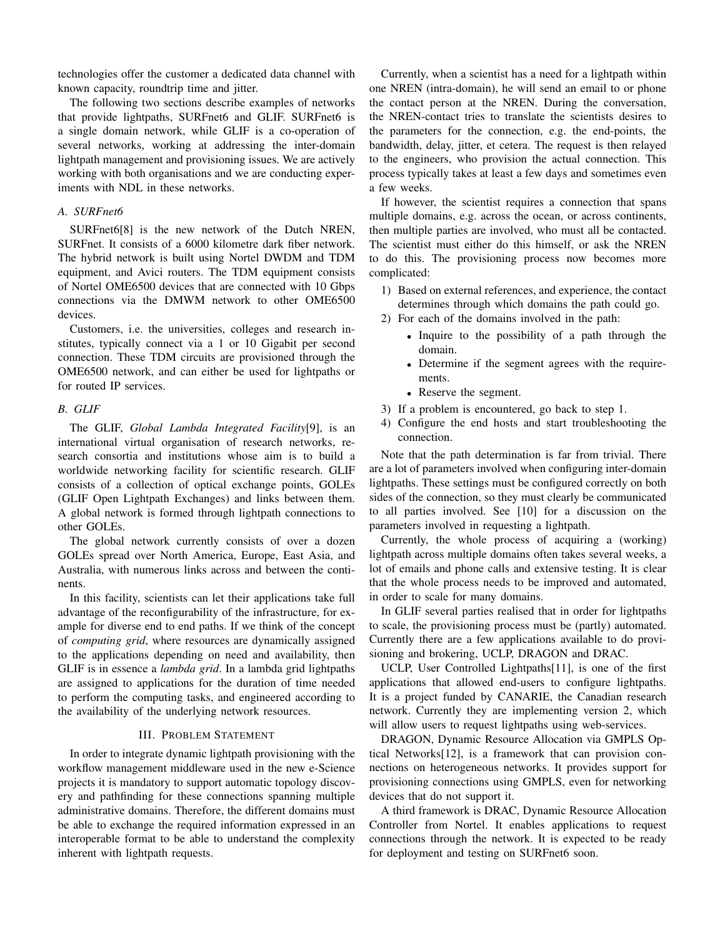technologies offer the customer a dedicated data channel with known capacity, roundtrip time and jitter.

The following two sections describe examples of networks that provide lightpaths, SURFnet6 and GLIF. SURFnet6 is a single domain network, while GLIF is a co-operation of several networks, working at addressing the inter-domain lightpath management and provisioning issues. We are actively working with both organisations and we are conducting experiments with NDL in these networks.

# *A. SURFnet6*

SURFnet6[8] is the new network of the Dutch NREN, SURFnet. It consists of a 6000 kilometre dark fiber network. The hybrid network is built using Nortel DWDM and TDM equipment, and Avici routers. The TDM equipment consists of Nortel OME6500 devices that are connected with 10 Gbps connections via the DMWM network to other OME6500 devices.

Customers, i.e. the universities, colleges and research institutes, typically connect via a 1 or 10 Gigabit per second connection. These TDM circuits are provisioned through the OME6500 network, and can either be used for lightpaths or for routed IP services.

# <span id="page-1-1"></span>*B. GLIF*

The GLIF, *Global Lambda Integrated Facility*[9], is an international virtual organisation of research networks, research consortia and institutions whose aim is to build a worldwide networking facility for scientific research. GLIF consists of a collection of optical exchange points, GOLEs (GLIF Open Lightpath Exchanges) and links between them. A global network is formed through lightpath connections to other GOLEs.

The global network currently consists of over a dozen GOLEs spread over North America, Europe, East Asia, and Australia, with numerous links across and between the continents.

In this facility, scientists can let their applications take full advantage of the reconfigurability of the infrastructure, for example for diverse end to end paths. If we think of the concept of *computing grid*, where resources are dynamically assigned to the applications depending on need and availability, then GLIF is in essence a *lambda grid*. In a lambda grid lightpaths are assigned to applications for the duration of time needed to perform the computing tasks, and engineered according to the availability of the underlying network resources.

## III. PROBLEM STATEMENT

<span id="page-1-0"></span>In order to integrate dynamic lightpath provisioning with the workflow management middleware used in the new e-Science projects it is mandatory to support automatic topology discovery and pathfinding for these connections spanning multiple administrative domains. Therefore, the different domains must be able to exchange the required information expressed in an interoperable format to be able to understand the complexity inherent with lightpath requests.

Currently, when a scientist has a need for a lightpath within one NREN (intra-domain), he will send an email to or phone the contact person at the NREN. During the conversation, the NREN-contact tries to translate the scientists desires to the parameters for the connection, e.g. the end-points, the bandwidth, delay, jitter, et cetera. The request is then relayed to the engineers, who provision the actual connection. This process typically takes at least a few days and sometimes even a few weeks.

If however, the scientist requires a connection that spans multiple domains, e.g. across the ocean, or across continents, then multiple parties are involved, who must all be contacted. The scientist must either do this himself, or ask the NREN to do this. The provisioning process now becomes more complicated:

- 1) Based on external references, and experience, the contact determines through which domains the path could go.
- 2) For each of the domains involved in the path:
	- Inquire to the possibility of a path through the domain.
	- *•* Determine if the segment agrees with the requirements.
	- *•* Reserve the segment.
- 3) If a problem is encountered, go back to step 1.
- 4) Configure the end hosts and start troubleshooting the connection.

Note that the path determination is far from trivial. There are a lot of parameters involved when configuring inter-domain lightpaths. These settings must be configured correctly on both sides of the connection, so they must clearly be communicated to all parties involved. See [10] for a discussion on the parameters involved in requesting a lightpath.

Currently, the whole process of acquiring a (working) lightpath across multiple domains often takes several weeks, a lot of emails and phone calls and extensive testing. It is clear that the whole process needs to be improved and automated, in order to scale for many domains.

In GLIF several parties realised that in order for lightpaths to scale, the provisioning process must be (partly) automated. Currently there are a few applications available to do provisioning and brokering, UCLP, DRAGON and DRAC.

UCLP, User Controlled Lightpaths[11], is one of the first applications that allowed end-users to configure lightpaths. It is a project funded by CANARIE, the Canadian research network. Currently they are implementing version 2, which will allow users to request lightpaths using web-services.

DRAGON, Dynamic Resource Allocation via GMPLS Optical Networks[12], is a framework that can provision connections on heterogeneous networks. It provides support for provisioning connections using GMPLS, even for networking devices that do not support it.

A third framework is DRAC, Dynamic Resource Allocation Controller from Nortel. It enables applications to request connections through the network. It is expected to be ready for deployment and testing on SURFnet6 soon.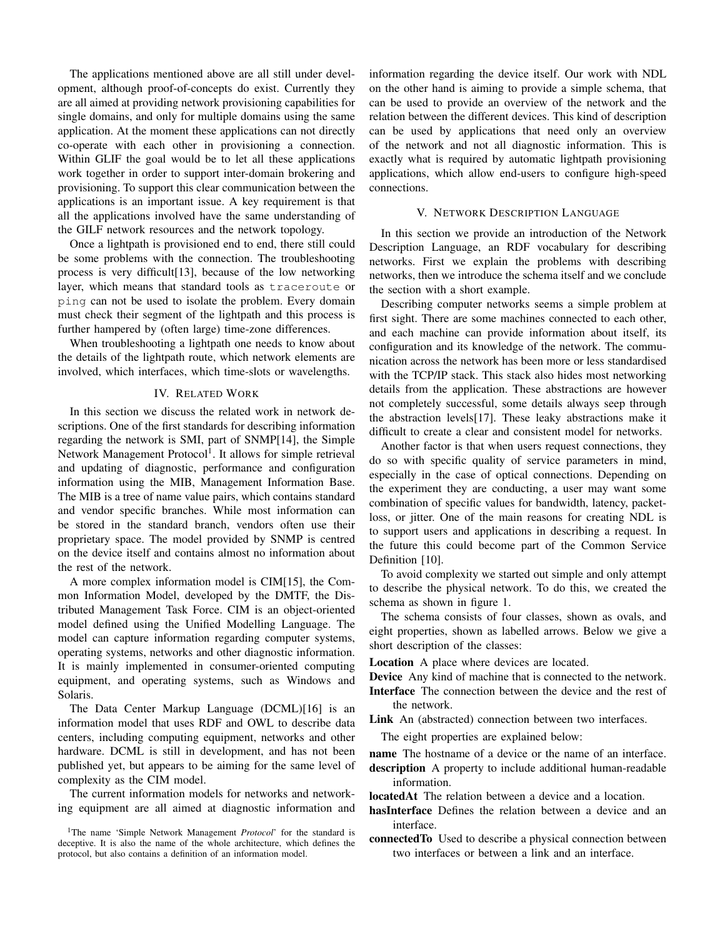The applications mentioned above are all still under development, although proof-of-concepts do exist. Currently they are all aimed at providing network provisioning capabilities for single domains, and only for multiple domains using the same application. At the moment these applications can not directly co-operate with each other in provisioning a connection. Within GLIF the goal would be to let all these applications work together in order to support inter-domain brokering and provisioning. To support this clear communication between the applications is an important issue. A key requirement is that all the applications involved have the same understanding of the GILF network resources and the network topology.

Once a lightpath is provisioned end to end, there still could be some problems with the connection. The troubleshooting process is very difficult[13], because of the low networking layer, which means that standard tools as traceroute or ping can not be used to isolate the problem. Every domain must check their segment of the lightpath and this process is further hampered by (often large) time-zone differences.

When troubleshooting a lightpath one needs to know about the details of the lightpath route, which network elements are involved, which interfaces, which time-slots or wavelengths.

# IV. RELATED WORK

<span id="page-2-0"></span>In this section we discuss the related work in network descriptions. One of the first standards for describing information regarding the network is SMI, part of SNMP[14], the Simple Network Management Protocol<sup>1</sup>. It allows for simple retrieval and updating of diagnostic, performance and configuration information using the MIB, Management Information Base. The MIB is a tree of name value pairs, which contains standard and vendor specific branches. While most information can be stored in the standard branch, vendors often use their proprietary space. The model provided by SNMP is centred on the device itself and contains almost no information about the rest of the network.

A more complex information model is CIM[15], the Common Information Model, developed by the DMTF, the Distributed Management Task Force. CIM is an object-oriented model defined using the Unified Modelling Language. The model can capture information regarding computer systems, operating systems, networks and other diagnostic information. It is mainly implemented in consumer-oriented computing equipment, and operating systems, such as Windows and Solaris.

The Data Center Markup Language (DCML)[16] is an information model that uses RDF and OWL to describe data centers, including computing equipment, networks and other hardware. DCML is still in development, and has not been published yet, but appears to be aiming for the same level of complexity as the CIM model.

The current information models for networks and networking equipment are all aimed at diagnostic information and information regarding the device itself. Our work with NDL on the other hand is aiming to provide a simple schema, that can be used to provide an overview of the network and the relation between the different devices. This kind of description can be used by applications that need only an overview of the network and not all diagnostic information. This is exactly what is required by automatic lightpath provisioning applications, which allow end-users to configure high-speed connections.

## V. NETWORK DESCRIPTION LANGUAGE

<span id="page-2-1"></span>In this section we provide an introduction of the Network Description Language, an RDF vocabulary for describing networks. First we explain the problems with describing networks, then we introduce the schema itself and we conclude the section with a short example.

Describing computer networks seems a simple problem at first sight. There are some machines connected to each other, and each machine can provide information about itself, its configuration and its knowledge of the network. The communication across the network has been more or less standardised with the TCP/IP stack. This stack also hides most networking details from the application. These abstractions are however not completely successful, some details always seep through the abstraction levels[17]. These leaky abstractions make it difficult to create a clear and consistent model for networks.

Another factor is that when users request connections, they do so with specific quality of service parameters in mind, especially in the case of optical connections. Depending on the experiment they are conducting, a user may want some combination of specific values for bandwidth, latency, packetloss, or jitter. One of the main reasons for creating NDL is to support users and applications in describing a request. In the future this could become part of the Common Service Definition [10].

To avoid complexity we started out simple and only attempt to describe the physical network. To do this, we created the schema as shown in figure [1.](#page-3-1)

The schema consists of four classes, shown as ovals, and eight properties, shown as labelled arrows. Below we give a short description of the classes:

Location A place where devices are located.

Device Any kind of machine that is connected to the network. Interface The connection between the device and the rest of the network.

Link An (abstracted) connection between two interfaces.

The eight properties are explained below:

- name The hostname of a device or the name of an interface. description A property to include additional human-readable information.
- locatedAt The relation between a device and a location.
- hasInterface Defines the relation between a device and an interface.
- connectedTo Used to describe a physical connection between two interfaces or between a link and an interface.

<sup>&</sup>lt;sup>1</sup>The name 'Simple Network Management *Protocol*' for the standard is deceptive. It is also the name of the whole architecture, which defines the protocol, but also contains a definition of an information model.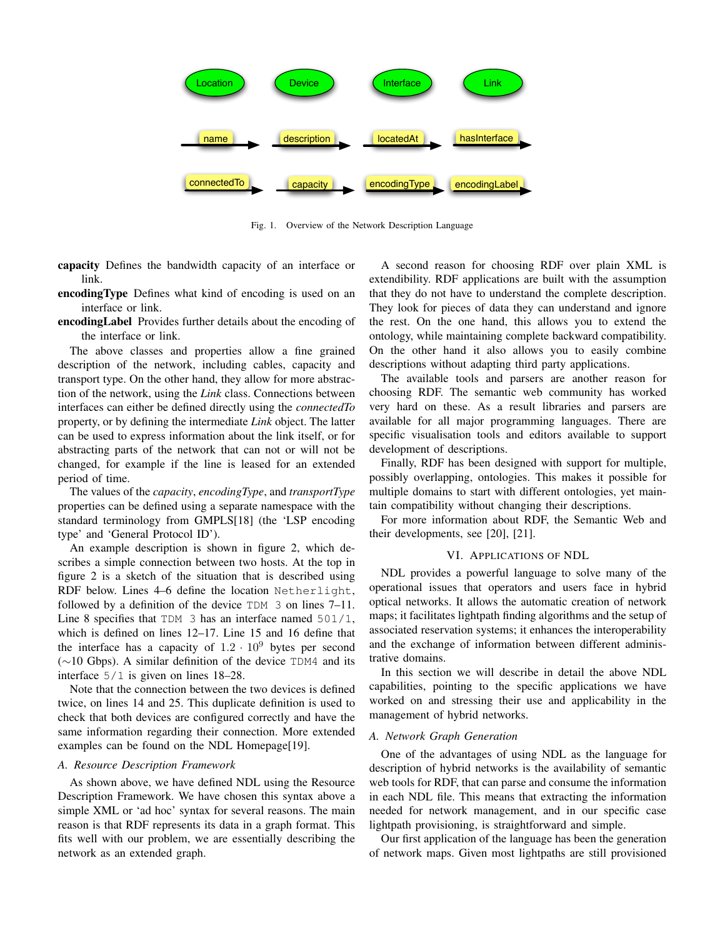

<span id="page-3-1"></span>Fig. 1. Overview of the Network Description Language

capacity Defines the bandwidth capacity of an interface or link.

encodingType Defines what kind of encoding is used on an interface or link.

encodingLabel Provides further details about the encoding of the interface or link.

The above classes and properties allow a fine grained description of the network, including cables, capacity and transport type. On the other hand, they allow for more abstraction of the network, using the *Link* class. Connections between interfaces can either be defined directly using the *connectedTo* property, or by defining the intermediate *Link* object. The latter can be used to express information about the link itself, or for abstracting parts of the network that can not or will not be changed, for example if the line is leased for an extended period of time.

The values of the *capacity*, *encodingType*, and *transportType* properties can be defined using a separate namespace with the standard terminology from GMPLS[18] (the 'LSP encoding type' and 'General Protocol ID').

An example description is shown in figure [2,](#page-4-0) which describes a simple connection between two hosts. At the top in figure [2](#page-4-0) is a sketch of the situation that is described using RDF below. Lines 4–6 define the location Netherlight, followed by a definition of the device TDM 3 on lines 7–11. Line 8 specifies that TDM 3 has an interface named  $501/1$ , which is defined on lines 12–17. Line 15 and 16 define that the interface has a capacity of  $1.2 \cdot 10^9$  bytes per second (∼10 Gbps). A similar definition of the device TDM4 and its interface 5/1 is given on lines 18–28.

Note that the connection between the two devices is defined twice, on lines 14 and 25. This duplicate definition is used to check that both devices are configured correctly and have the same information regarding their connection. More extended examples can be found on the NDL Homepage[19].

## *A. Resource Description Framework*

As shown above, we have defined NDL using the Resource Description Framework. We have chosen this syntax above a simple XML or 'ad hoc' syntax for several reasons. The main reason is that RDF represents its data in a graph format. This fits well with our problem, we are essentially describing the network as an extended graph.

A second reason for choosing RDF over plain XML is extendibility. RDF applications are built with the assumption that they do not have to understand the complete description. They look for pieces of data they can understand and ignore the rest. On the one hand, this allows you to extend the ontology, while maintaining complete backward compatibility. On the other hand it also allows you to easily combine descriptions without adapting third party applications.

The available tools and parsers are another reason for choosing RDF. The semantic web community has worked very hard on these. As a result libraries and parsers are available for all major programming languages. There are specific visualisation tools and editors available to support development of descriptions.

Finally, RDF has been designed with support for multiple, possibly overlapping, ontologies. This makes it possible for multiple domains to start with different ontologies, yet maintain compatibility without changing their descriptions.

For more information about RDF, the Semantic Web and their developments, see [20], [21].

#### VI. APPLICATIONS OF NDL

<span id="page-3-0"></span>NDL provides a powerful language to solve many of the operational issues that operators and users face in hybrid optical networks. It allows the automatic creation of network maps; it facilitates lightpath finding algorithms and the setup of associated reservation systems; it enhances the interoperability and the exchange of information between different administrative domains.

In this section we will describe in detail the above NDL capabilities, pointing to the specific applications we have worked on and stressing their use and applicability in the management of hybrid networks.

# *A. Network Graph Generation*

One of the advantages of using NDL as the language for description of hybrid networks is the availability of semantic web tools for RDF, that can parse and consume the information in each NDL file. This means that extracting the information needed for network management, and in our specific case lightpath provisioning, is straightforward and simple.

Our first application of the language has been the generation of network maps. Given most lightpaths are still provisioned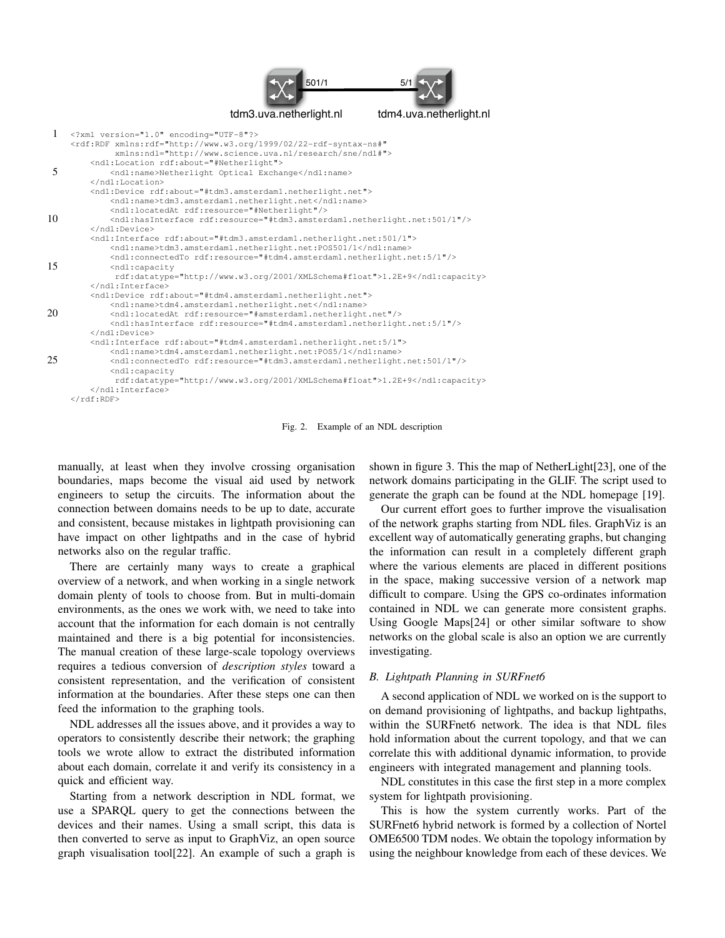

<span id="page-4-0"></span>Fig. 2. Example of an NDL description

manually, at least when they involve crossing organisation boundaries, maps become the visual aid used by network engineers to setup the circuits. The information about the connection between domains needs to be up to date, accurate and consistent, because mistakes in lightpath provisioning can have impact on other lightpaths and in the case of hybrid networks also on the regular traffic.

There are certainly many ways to create a graphical overview of a network, and when working in a single network domain plenty of tools to choose from. But in multi-domain environments, as the ones we work with, we need to take into account that the information for each domain is not centrally maintained and there is a big potential for inconsistencies. The manual creation of these large-scale topology overviews requires a tedious conversion of *description styles* toward a consistent representation, and the verification of consistent information at the boundaries. After these steps one can then feed the information to the graphing tools.

NDL addresses all the issues above, and it provides a way to operators to consistently describe their network; the graphing tools we wrote allow to extract the distributed information about each domain, correlate it and verify its consistency in a quick and efficient way.

Starting from a network description in NDL format, we use a SPARQL query to get the connections between the devices and their names. Using a small script, this data is then converted to serve as input to GraphViz, an open source graph visualisation tool[22]. An example of such a graph is

shown in figure [3.](#page-5-1) This the map of NetherLight[23], one of the network domains participating in the GLIF. The script used to generate the graph can be found at the NDL homepage [19].

Our current effort goes to further improve the visualisation of the network graphs starting from NDL files. GraphViz is an excellent way of automatically generating graphs, but changing the information can result in a completely different graph where the various elements are placed in different positions in the space, making successive version of a network map difficult to compare. Using the GPS co-ordinates information contained in NDL we can generate more consistent graphs. Using Google Maps[24] or other similar software to show networks on the global scale is also an option we are currently investigating.

## *B. Lightpath Planning in SURFnet6*

A second application of NDL we worked on is the support to on demand provisioning of lightpaths, and backup lightpaths, within the SURFnet6 network. The idea is that NDL files hold information about the current topology, and that we can correlate this with additional dynamic information, to provide engineers with integrated management and planning tools.

NDL constitutes in this case the first step in a more complex system for lightpath provisioning.

This is how the system currently works. Part of the SURFnet6 hybrid network is formed by a collection of Nortel OME6500 TDM nodes. We obtain the topology information by using the neighbour knowledge from each of these devices. We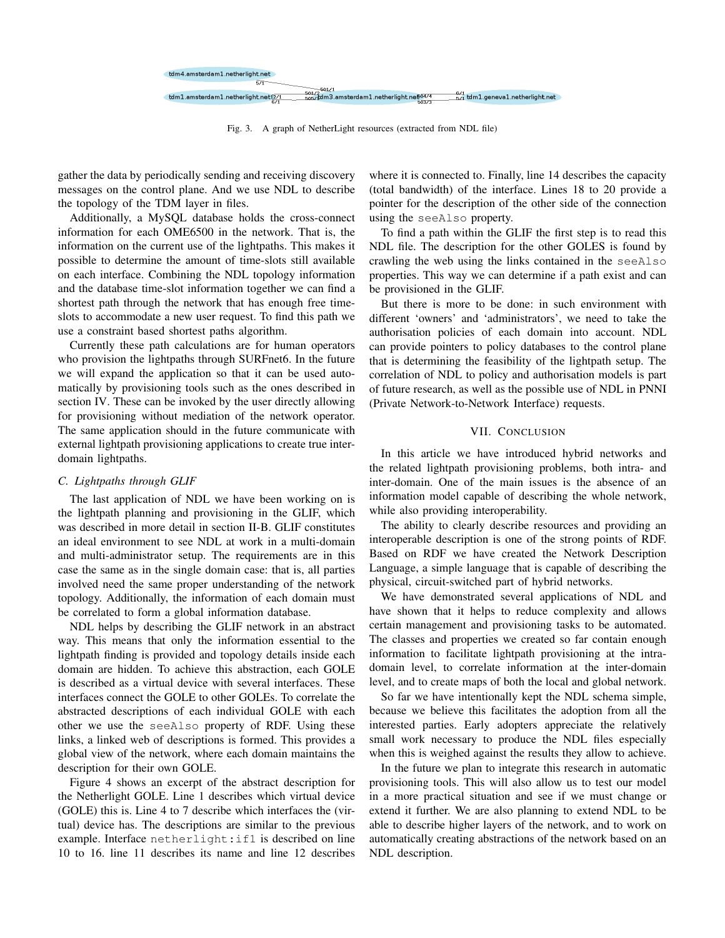

<span id="page-5-1"></span>Fig. 3. A graph of NetherLight resources (extracted from NDL file)

gather the data by periodically sending and receiving discovery messages on the control plane. And we use NDL to describe the topology of the TDM layer in files.

Additionally, a MySQL database holds the cross-connect information for each OME6500 in the network. That is, the information on the current use of the lightpaths. This makes it possible to determine the amount of time-slots still available on each interface. Combining the NDL topology information and the database time-slot information together we can find a shortest path through the network that has enough free timeslots to accommodate a new user request. To find this path we use a constraint based shortest paths algorithm.

Currently these path calculations are for human operators who provision the lightpaths through SURFnet6. In the future we will expand the application so that it can be used automatically by provisioning tools such as the ones described in section [IV.](#page-2-0) These can be invoked by the user directly allowing for provisioning without mediation of the network operator. The same application should in the future communicate with external lightpath provisioning applications to create true interdomain lightpaths.

# *C. Lightpaths through GLIF*

The last application of NDL we have been working on is the lightpath planning and provisioning in the GLIF, which was described in more detail in section [II-B.](#page-1-1) GLIF constitutes an ideal environment to see NDL at work in a multi-domain and multi-administrator setup. The requirements are in this case the same as in the single domain case: that is, all parties involved need the same proper understanding of the network topology. Additionally, the information of each domain must be correlated to form a global information database.

NDL helps by describing the GLIF network in an abstract way. This means that only the information essential to the lightpath finding is provided and topology details inside each domain are hidden. To achieve this abstraction, each GOLE is described as a virtual device with several interfaces. These interfaces connect the GOLE to other GOLEs. To correlate the abstracted descriptions of each individual GOLE with each other we use the seeAlso property of RDF. Using these links, a linked web of descriptions is formed. This provides a global view of the network, where each domain maintains the description for their own GOLE.

Figure [4](#page-6-0) shows an excerpt of the abstract description for the Netherlight GOLE. Line 1 describes which virtual device (GOLE) this is. Line 4 to 7 describe which interfaces the (virtual) device has. The descriptions are similar to the previous example. Interface netherlight:if1 is described on line 10 to 16. line 11 describes its name and line 12 describes where it is connected to. Finally, line 14 describes the capacity (total bandwidth) of the interface. Lines 18 to 20 provide a pointer for the description of the other side of the connection using the seeAlso property.

To find a path within the GLIF the first step is to read this NDL file. The description for the other GOLES is found by crawling the web using the links contained in the seeAlso properties. This way we can determine if a path exist and can be provisioned in the GLIF.

But there is more to be done: in such environment with different 'owners' and 'administrators', we need to take the authorisation policies of each domain into account. NDL can provide pointers to policy databases to the control plane that is determining the feasibility of the lightpath setup. The correlation of NDL to policy and authorisation models is part of future research, as well as the possible use of NDL in PNNI (Private Network-to-Network Interface) requests.

## VII. CONCLUSION

<span id="page-5-0"></span>In this article we have introduced hybrid networks and the related lightpath provisioning problems, both intra- and inter-domain. One of the main issues is the absence of an information model capable of describing the whole network, while also providing interoperability.

The ability to clearly describe resources and providing an interoperable description is one of the strong points of RDF. Based on RDF we have created the Network Description Language, a simple language that is capable of describing the physical, circuit-switched part of hybrid networks.

We have demonstrated several applications of NDL and have shown that it helps to reduce complexity and allows certain management and provisioning tasks to be automated. The classes and properties we created so far contain enough information to facilitate lightpath provisioning at the intradomain level, to correlate information at the inter-domain level, and to create maps of both the local and global network.

So far we have intentionally kept the NDL schema simple, because we believe this facilitates the adoption from all the interested parties. Early adopters appreciate the relatively small work necessary to produce the NDL files especially when this is weighed against the results they allow to achieve.

In the future we plan to integrate this research in automatic provisioning tools. This will also allow us to test our model in a more practical situation and see if we must change or extend it further. We are also planning to extend NDL to be able to describe higher layers of the network, and to work on automatically creating abstractions of the network based on an NDL description.